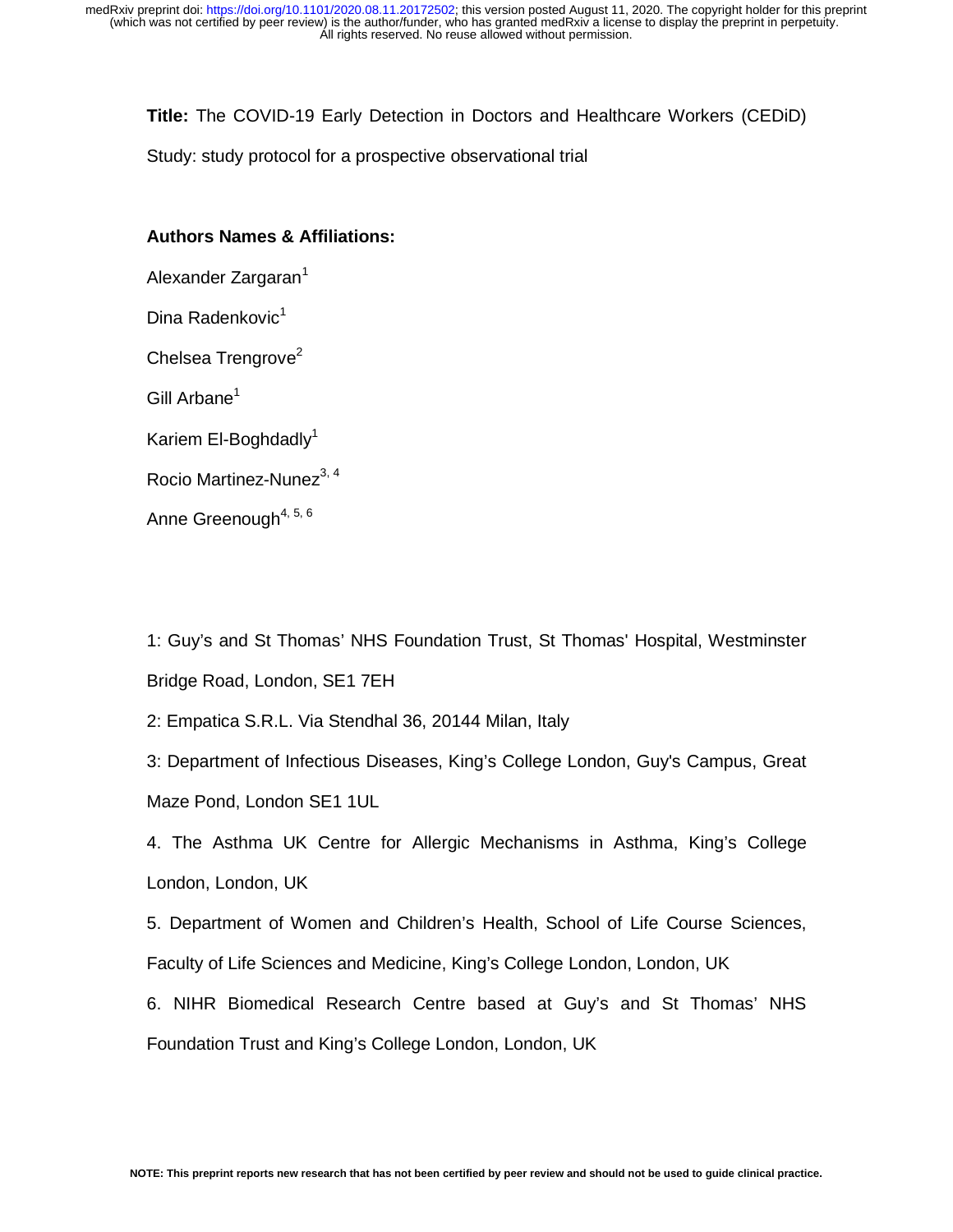**Title:** The COVID-19 Early Detection in Doctors and Healthcare Workers (CEDiD)

Study: study protocol for a prospective observational trial

## **Authors Names & Affiliations:**

Alexander Zargaran<sup>1</sup>

Dina Radenkovic<sup>1</sup>

Chelsea Trengrove<sup>2</sup>

Gill Arbane<sup>1</sup>

Kariem El-Boghdadly $1$ 

Rocio Martinez-Nunez<sup>3, 4</sup>

Anne Greenough<sup>4, 5, 6</sup>

1: Guy's and St Thomas' NHS Foundation Trust, St Thomas' Hospital, Westminster Bridge Road, London, SE1 7EH

2: Empatica S.R.L. Via Stendhal 36, 20144 Milan, Italy

3: Department of Infectious Diseases, King's College London, Guy's Campus, Great Maze Pond, London SE1 1UL

4. The Asthma UK Centre for Allergic Mechanisms in Asthma, King's College London, London, UK

5. Department of Women and Children's Health, School of Life Course Sciences, Faculty of Life Sciences and Medicine, King's College London, London, UK

6. NIHR Biomedical Research Centre based at Guy's and St Thomas' NHS Foundation Trust and King's College London, London, UK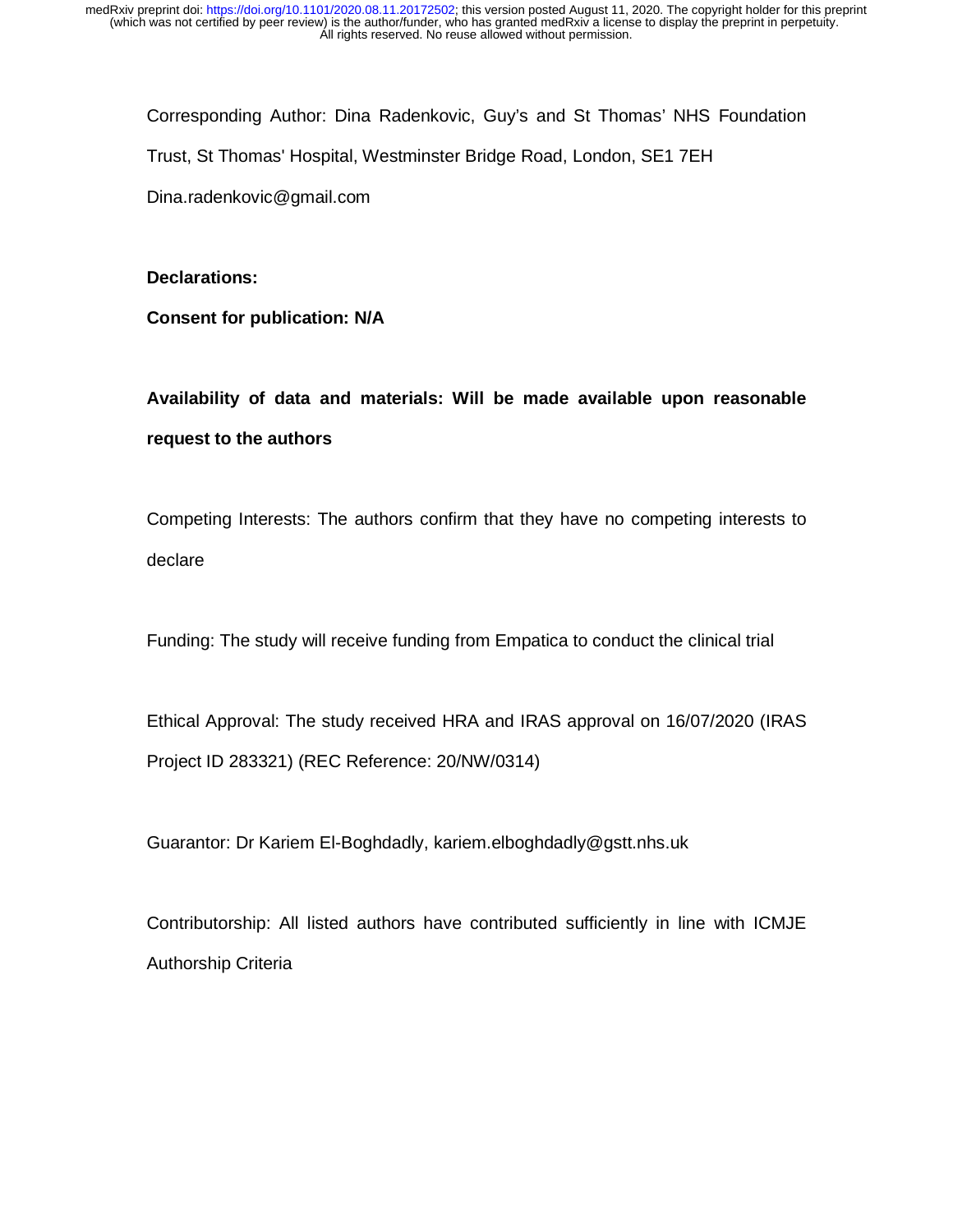Corresponding Author: Dina Radenkovic, Guy's and St Thomas' NHS Foundation Trust, St Thomas' Hospital, Westminster Bridge Road, London, SE1 7EH Dina.radenkovic@gmail.com

## **Declarations:**

**Consent for publication: N/A** 

**Availability of data and materials: Will be made available upon reasonable request to the authors** 

Competing Interests: The authors confirm that they have no competing interests to declare

Funding: The study will receive funding from Empatica to conduct the clinical trial

Ethical Approval: The study received HRA and IRAS approval on 16/07/2020 (IRAS Project ID 283321) (REC Reference: 20/NW/0314)

Guarantor: Dr Kariem El-Boghdadly, kariem.elboghdadly@gstt.nhs.uk

Contributorship: All listed authors have contributed sufficiently in line with ICMJE Authorship Criteria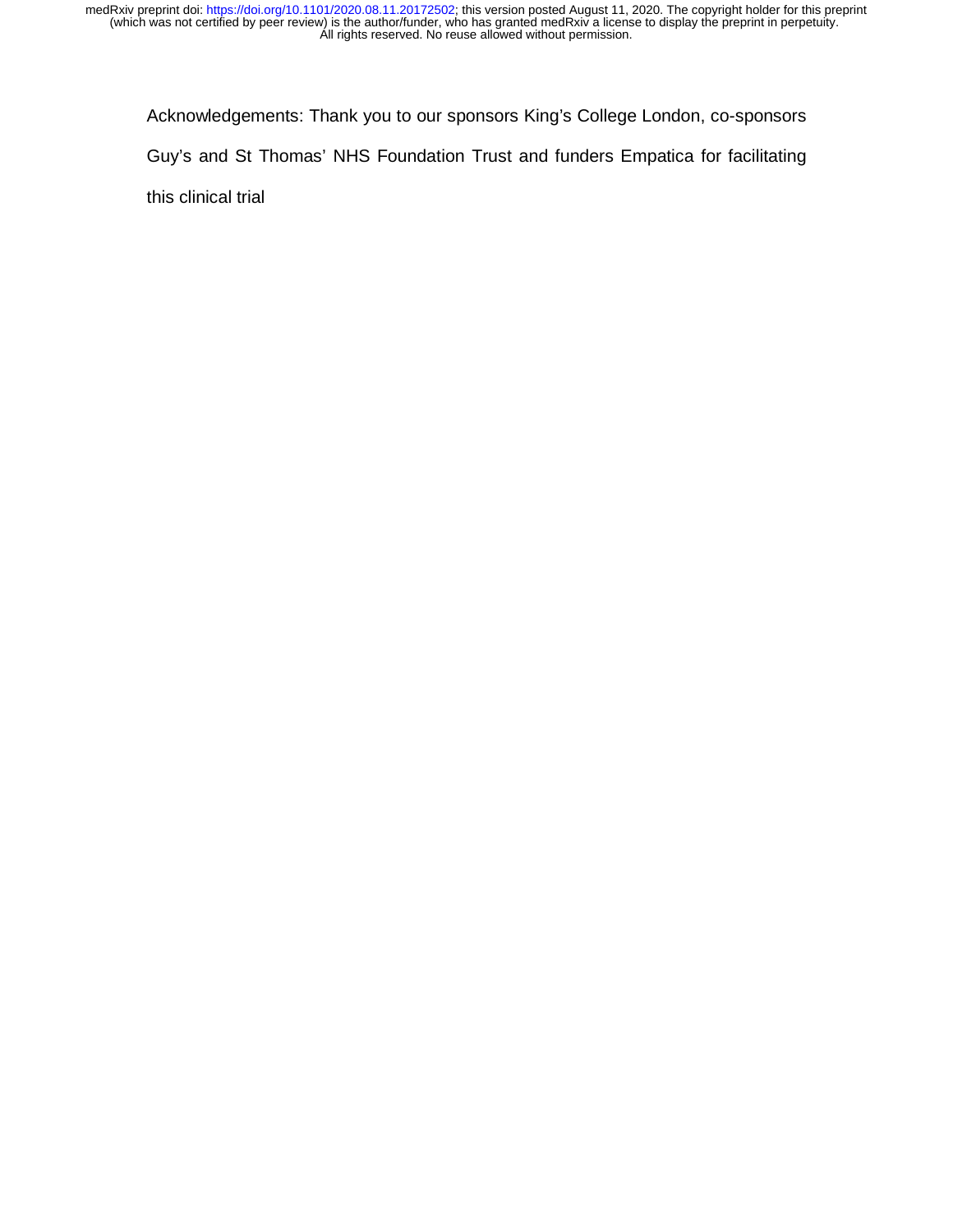Acknowledgements: Thank you to our sponsors King's College London, co-sponsors Guy's and St Thomas' NHS Foundation Trust and funders Empatica for facilitating this clinical trial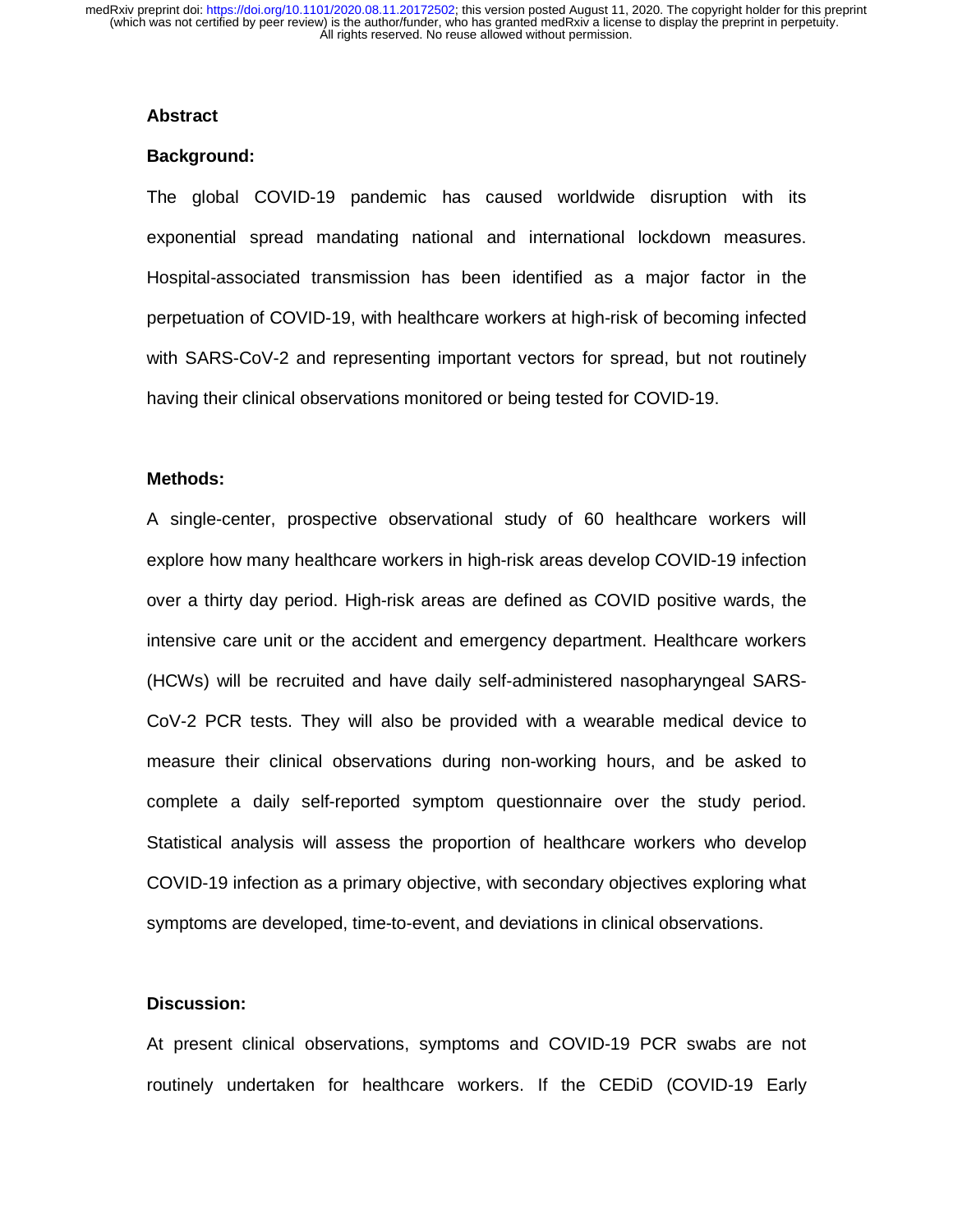#### **Abstract**

#### **Background:**

The global COVID-19 pandemic has caused worldwide disruption with its exponential spread mandating national and international lockdown measures. Hospital-associated transmission has been identified as a major factor in the perpetuation of COVID-19, with healthcare workers at high-risk of becoming infected with SARS-CoV-2 and representing important vectors for spread, but not routinely having their clinical observations monitored or being tested for COVID-19.

### **Methods:**

A single-center, prospective observational study of 60 healthcare workers will explore how many healthcare workers in high-risk areas develop COVID-19 infection over a thirty day period. High-risk areas are defined as COVID positive wards, the intensive care unit or the accident and emergency department. Healthcare workers (HCWs) will be recruited and have daily self-administered nasopharyngeal SARS-CoV-2 PCR tests. They will also be provided with a wearable medical device to measure their clinical observations during non-working hours, and be asked to complete a daily self-reported symptom questionnaire over the study period. Statistical analysis will assess the proportion of healthcare workers who develop COVID-19 infection as a primary objective, with secondary objectives exploring what symptoms are developed, time-to-event, and deviations in clinical observations.

### **Discussion:**

At present clinical observations, symptoms and COVID-19 PCR swabs are not routinely undertaken for healthcare workers. If the CEDiD (COVID-19 Early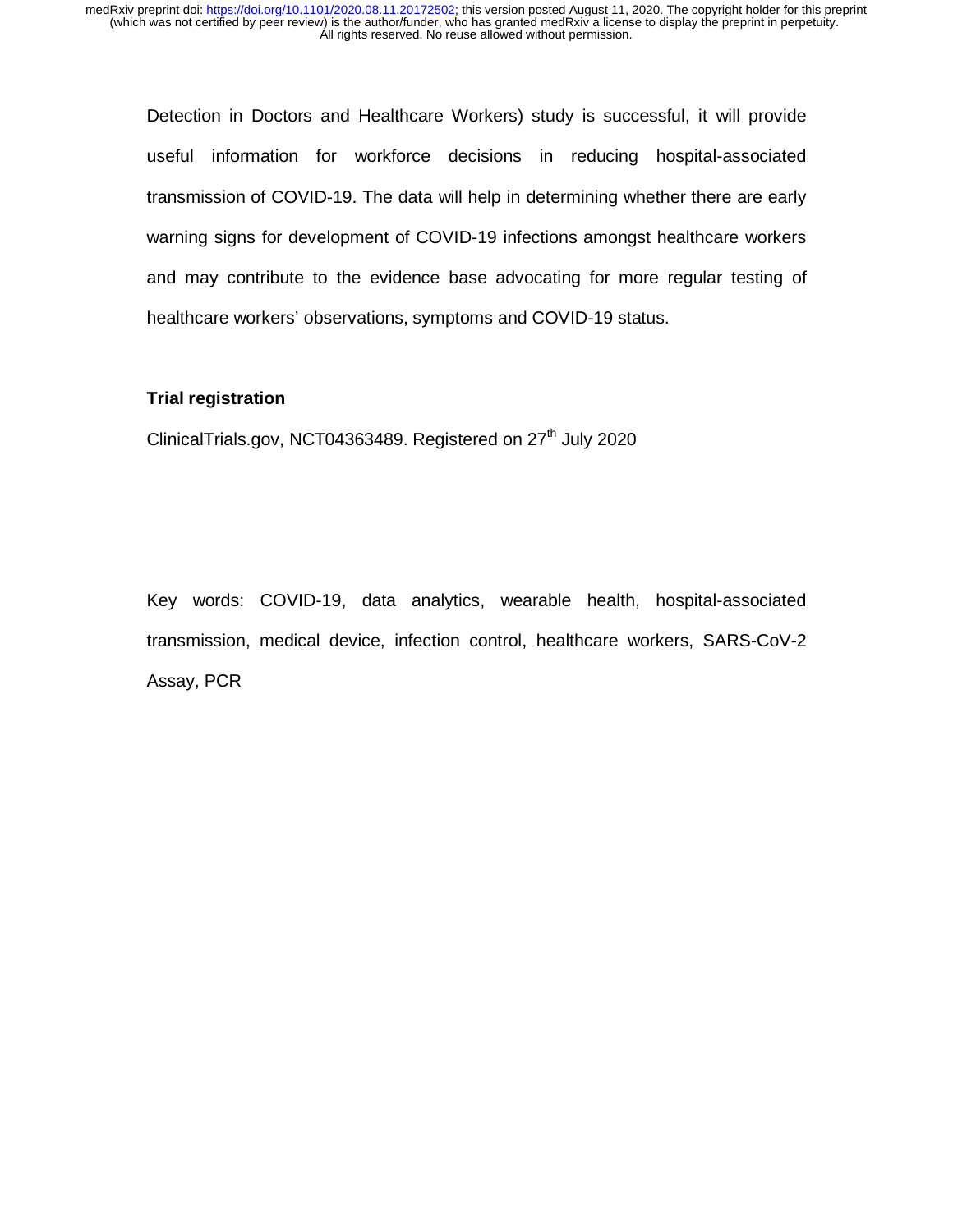Detection in Doctors and Healthcare Workers) study is successful, it will provide useful information for workforce decisions in reducing hospital-associated transmission of COVID-19. The data will help in determining whether there are early warning signs for development of COVID-19 infections amongst healthcare workers and may contribute to the evidence base advocating for more regular testing of healthcare workers' observations, symptoms and COVID-19 status.

## **Trial registration**

ClinicalTrials.gov, NCT04363489. Registered on  $27<sup>th</sup>$  July 2020

Key words: COVID-19, data analytics, wearable health, hospital-associated transmission, medical device, infection control, healthcare workers, SARS-CoV-2 Assay, PCR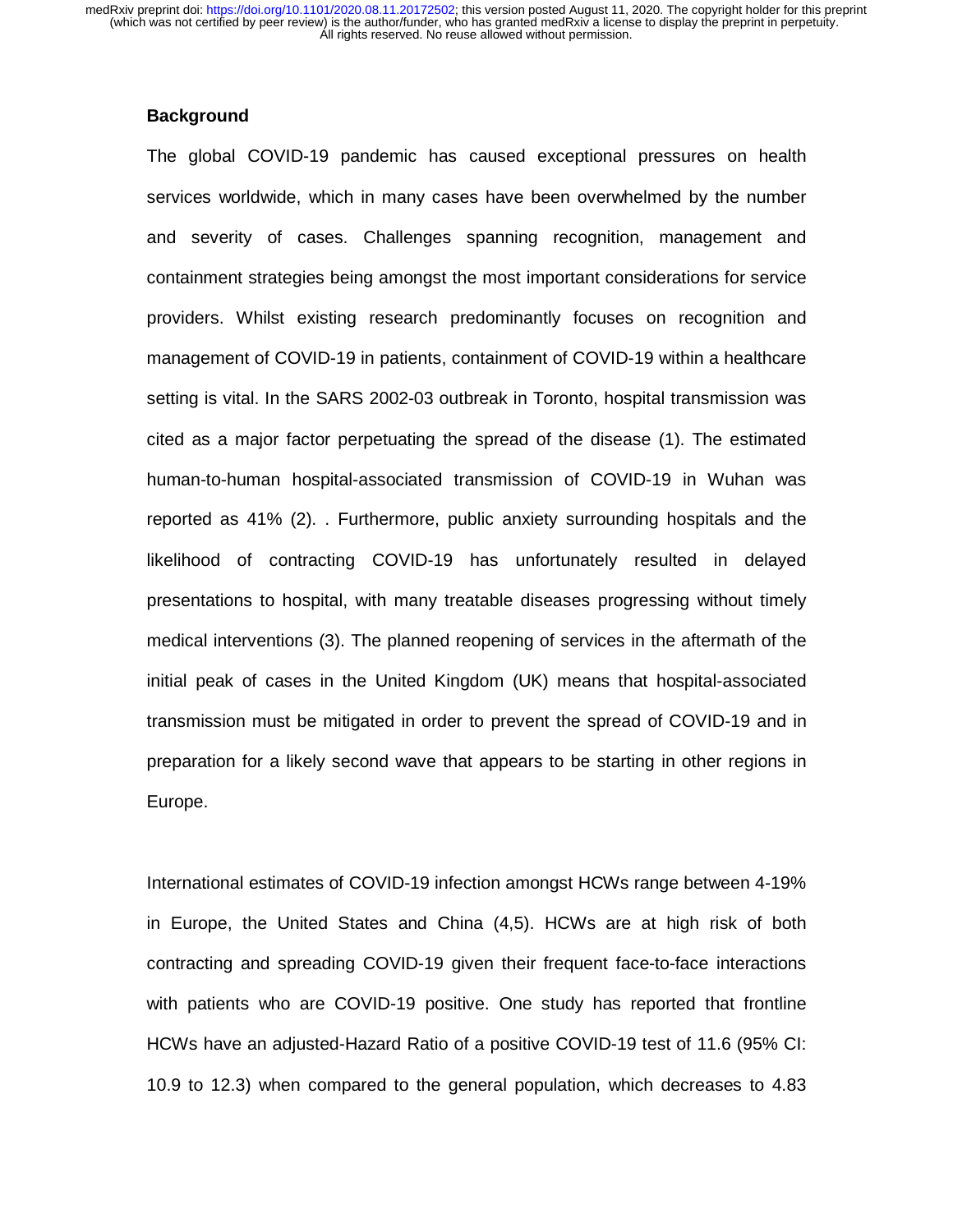#### **Background**

The global COVID-19 pandemic has caused exceptional pressures on health services worldwide, which in many cases have been overwhelmed by the number and severity of cases. Challenges spanning recognition, management and containment strategies being amongst the most important considerations for service providers. Whilst existing research predominantly focuses on recognition and management of COVID-19 in patients, containment of COVID-19 within a healthcare setting is vital. In the SARS 2002-03 outbreak in Toronto, hospital transmission was cited as a major factor perpetuating the spread of the disease (1). The estimated human-to-human hospital-associated transmission of COVID-19 in Wuhan was reported as 41% (2). . Furthermore, public anxiety surrounding hospitals and the likelihood of contracting COVID-19 has unfortunately resulted in delayed presentations to hospital, with many treatable diseases progressing without timely medical interventions (3). The planned reopening of services in the aftermath of the initial peak of cases in the United Kingdom (UK) means that hospital-associated transmission must be mitigated in order to prevent the spread of COVID-19 and in preparation for a likely second wave that appears to be starting in other regions in Europe.

International estimates of COVID-19 infection amongst HCWs range between 4-19% in Europe, the United States and China (4,5). HCWs are at high risk of both contracting and spreading COVID-19 given their frequent face-to-face interactions with patients who are COVID-19 positive. One study has reported that frontline HCWs have an adjusted-Hazard Ratio of a positive COVID-19 test of 11.6 (95% CI: 10.9 to 12.3) when compared to the general population, which decreases to 4.83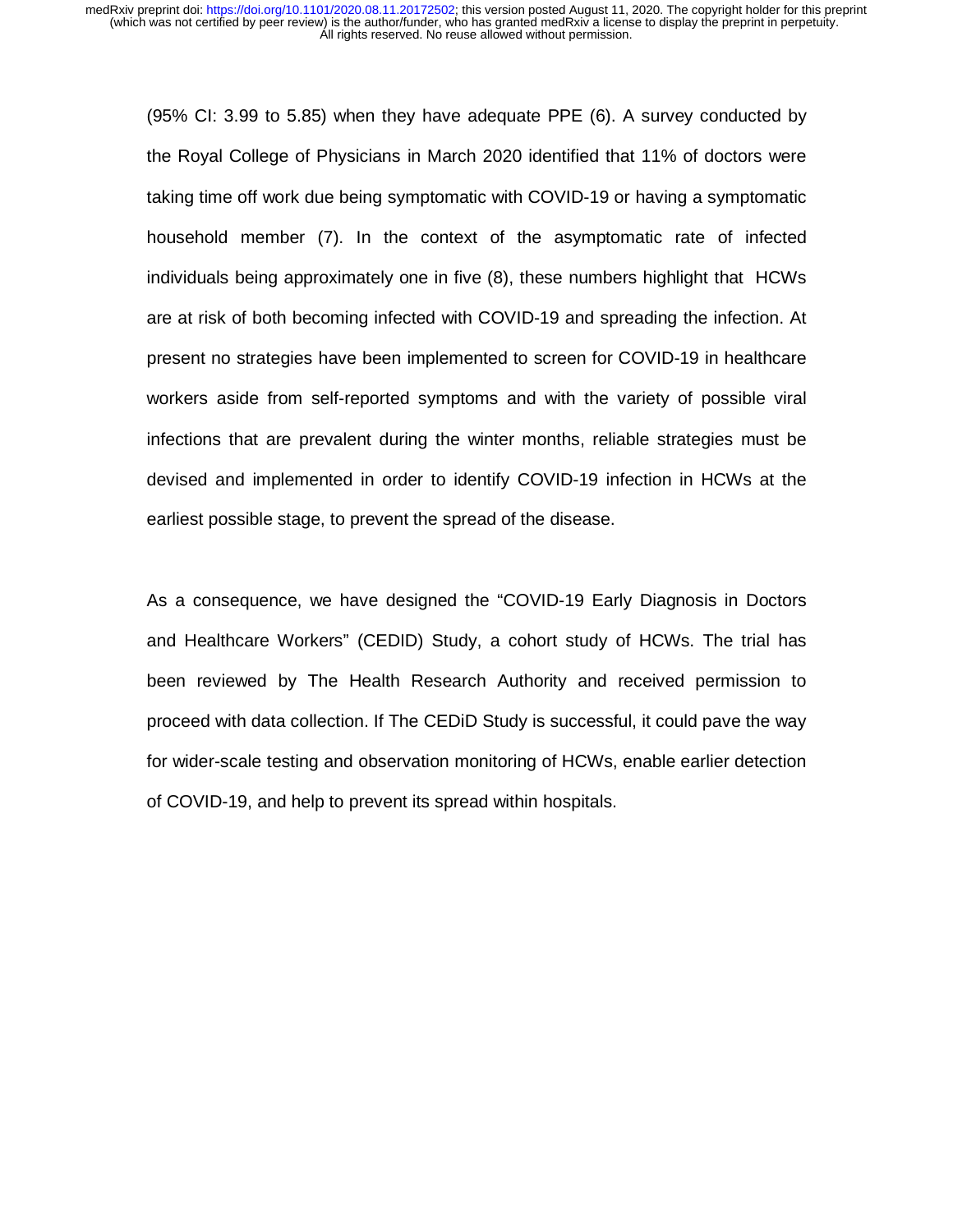(95% CI: 3.99 to 5.85) when they have adequate PPE (6). A survey conducted by the Royal College of Physicians in March 2020 identified that 11% of doctors were taking time off work due being symptomatic with COVID-19 or having a symptomatic household member (7). In the context of the asymptomatic rate of infected individuals being approximately one in five (8), these numbers highlight that HCWs are at risk of both becoming infected with COVID-19 and spreading the infection. At present no strategies have been implemented to screen for COVID-19 in healthcare workers aside from self-reported symptoms and with the variety of possible viral infections that are prevalent during the winter months, reliable strategies must be devised and implemented in order to identify COVID-19 infection in HCWs at the earliest possible stage, to prevent the spread of the disease.

As a consequence, we have designed the "COVID-19 Early Diagnosis in Doctors and Healthcare Workers" (CEDID) Study, a cohort study of HCWs. The trial has been reviewed by The Health Research Authority and received permission to proceed with data collection. If The CEDiD Study is successful, it could pave the way for wider-scale testing and observation monitoring of HCWs, enable earlier detection of COVID-19, and help to prevent its spread within hospitals.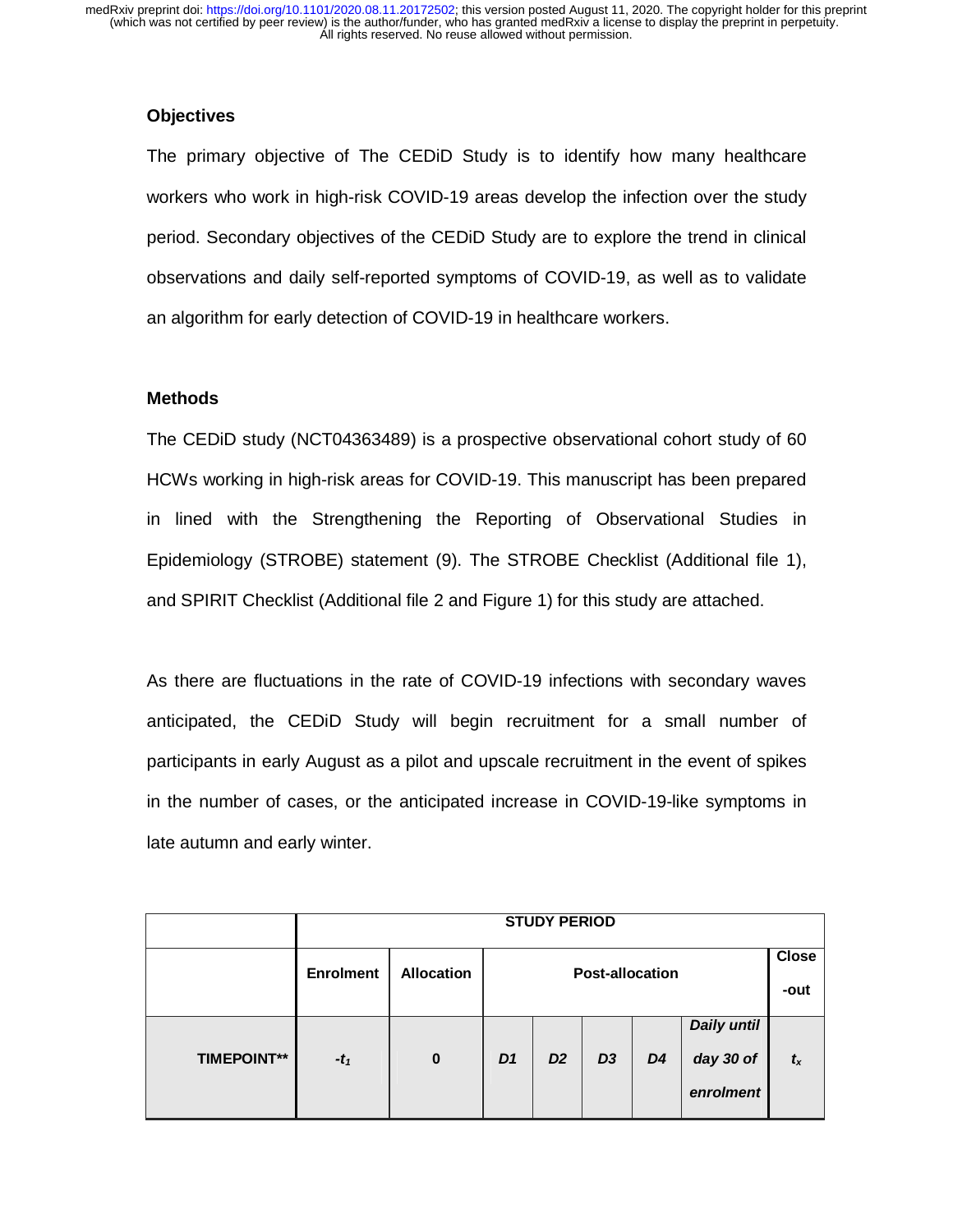## **Objectives**

The primary objective of The CEDiD Study is to identify how many healthcare workers who work in high-risk COVID-19 areas develop the infection over the study period. Secondary objectives of the CEDiD Study are to explore the trend in clinical observations and daily self-reported symptoms of COVID-19, as well as to validate an algorithm for early detection of COVID-19 in healthcare workers.

## **Methods**

The CEDiD study (NCT04363489) is a prospective observational cohort study of 60 HCWs working in high-risk areas for COVID-19. This manuscript has been prepared in lined with the Strengthening the Reporting of Observational Studies in Epidemiology (STROBE) statement (9). The STROBE Checklist (Additional file 1), and SPIRIT Checklist (Additional file 2 and Figure 1) for this study are attached.

As there are fluctuations in the rate of COVID-19 infections with secondary waves anticipated, the CEDiD Study will begin recruitment for a small number of participants in early August as a pilot and upscale recruitment in the event of spikes in the number of cases, or the anticipated increase in COVID-19-like symptoms in late autumn and early winter.

|                    | <b>STUDY PERIOD</b> |                   |                                        |                |                |                |                                       |         |  |  |
|--------------------|---------------------|-------------------|----------------------------------------|----------------|----------------|----------------|---------------------------------------|---------|--|--|
|                    | <b>Enrolment</b>    | <b>Allocation</b> | <b>Close</b><br><b>Post-allocation</b> |                |                |                |                                       |         |  |  |
| <b>TIMEPOINT**</b> | $-t_1$              | $\bf{0}$          | D <sub>1</sub>                         | D <sub>2</sub> | D <sub>3</sub> | D <sub>4</sub> | Daily until<br>day 30 of<br>enrolment | $t_{x}$ |  |  |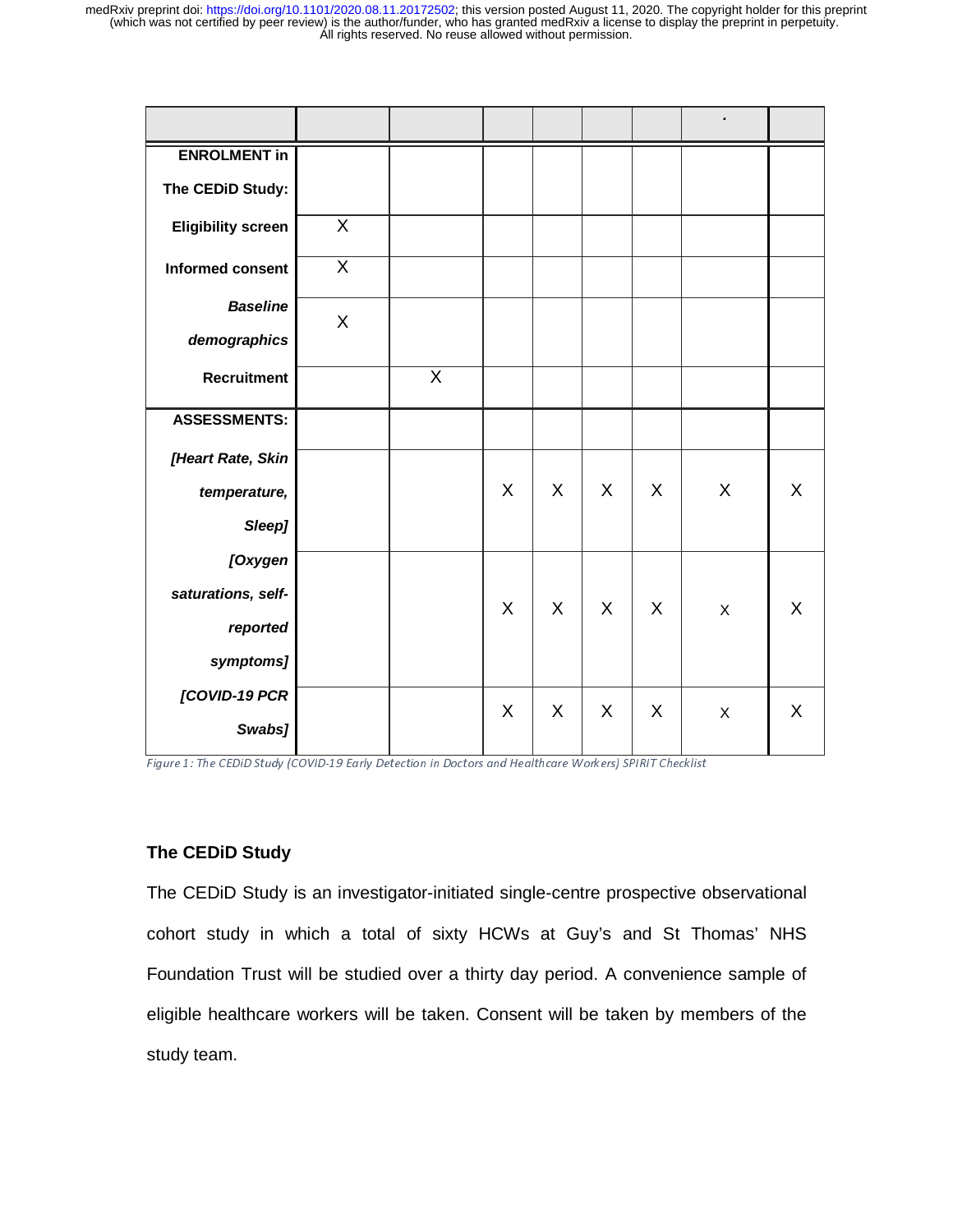| <b>ENROLMENT in</b>       |                         |   |         |         |         |   |                |         |
|---------------------------|-------------------------|---|---------|---------|---------|---|----------------|---------|
| The CEDiD Study:          |                         |   |         |         |         |   |                |         |
| <b>Eligibility screen</b> | X                       |   |         |         |         |   |                |         |
| <b>Informed consent</b>   | $\overline{\mathsf{x}}$ |   |         |         |         |   |                |         |
| <b>Baseline</b>           |                         |   |         |         |         |   |                |         |
| demographics              | X                       |   |         |         |         |   |                |         |
| <b>Recruitment</b>        |                         | X |         |         |         |   |                |         |
| <b>ASSESSMENTS:</b>       |                         |   |         |         |         |   |                |         |
| [Heart Rate, Skin         |                         |   |         |         |         |   |                |         |
| temperature,              |                         |   | X       | $\sf X$ | $\sf X$ | X | $\sf X$        | X       |
| Sleep]                    |                         |   |         |         |         |   |                |         |
| [Oxygen                   |                         |   |         |         |         |   |                |         |
| saturations, self-        |                         |   | $\sf X$ | $\sf X$ | $\sf X$ | X | $\mathsf X$    | X       |
| reported                  |                         |   |         |         |         |   |                |         |
| symptoms]                 |                         |   |         |         |         |   |                |         |
| [COVID-19 PCR             |                         |   | X       | $\sf X$ | X       | X | $\pmb{\times}$ | $\sf X$ |
| Swabs]                    |                         |   |         |         |         |   |                |         |

Figure 1: The CEDiD Study (COVID-19 Early Detection in Doctors and Healthcare Workers) SPIRIT Checklist

## **The CEDiD Study**

The CEDiD Study is an investigator-initiated single-centre prospective observational cohort study in which a total of sixty HCWs at Guy's and St Thomas' NHS Foundation Trust will be studied over a thirty day period. A convenience sample of eligible healthcare workers will be taken. Consent will be taken by members of the study team.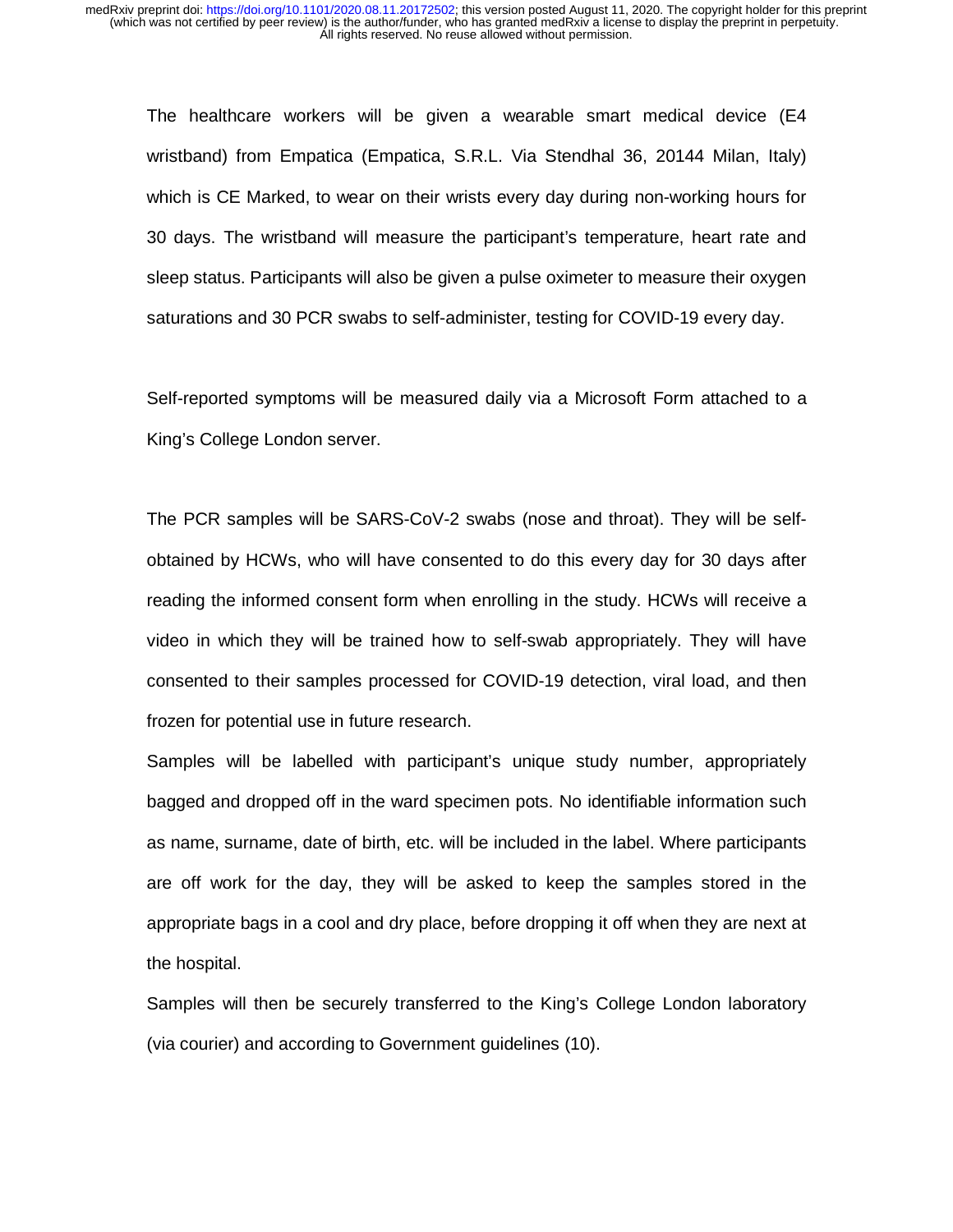The healthcare workers will be given a wearable smart medical device (E4 wristband) from Empatica (Empatica, S.R.L. Via Stendhal 36, 20144 Milan, Italy) which is CE Marked, to wear on their wrists every day during non-working hours for 30 days. The wristband will measure the participant's temperature, heart rate and sleep status. Participants will also be given a pulse oximeter to measure their oxygen saturations and 30 PCR swabs to self-administer, testing for COVID-19 every day.

Self-reported symptoms will be measured daily via a Microsoft Form attached to a King's College London server.

The PCR samples will be SARS-CoV-2 swabs (nose and throat). They will be selfobtained by HCWs, who will have consented to do this every day for 30 days after reading the informed consent form when enrolling in the study. HCWs will receive a video in which they will be trained how to self-swab appropriately. They will have consented to their samples processed for COVID-19 detection, viral load, and then frozen for potential use in future research.

Samples will be labelled with participant's unique study number, appropriately bagged and dropped off in the ward specimen pots. No identifiable information such as name, surname, date of birth, etc. will be included in the label. Where participants are off work for the day, they will be asked to keep the samples stored in the appropriate bags in a cool and dry place, before dropping it off when they are next at the hospital.

Samples will then be securely transferred to the King's College London laboratory (via courier) and according to Government guidelines (10).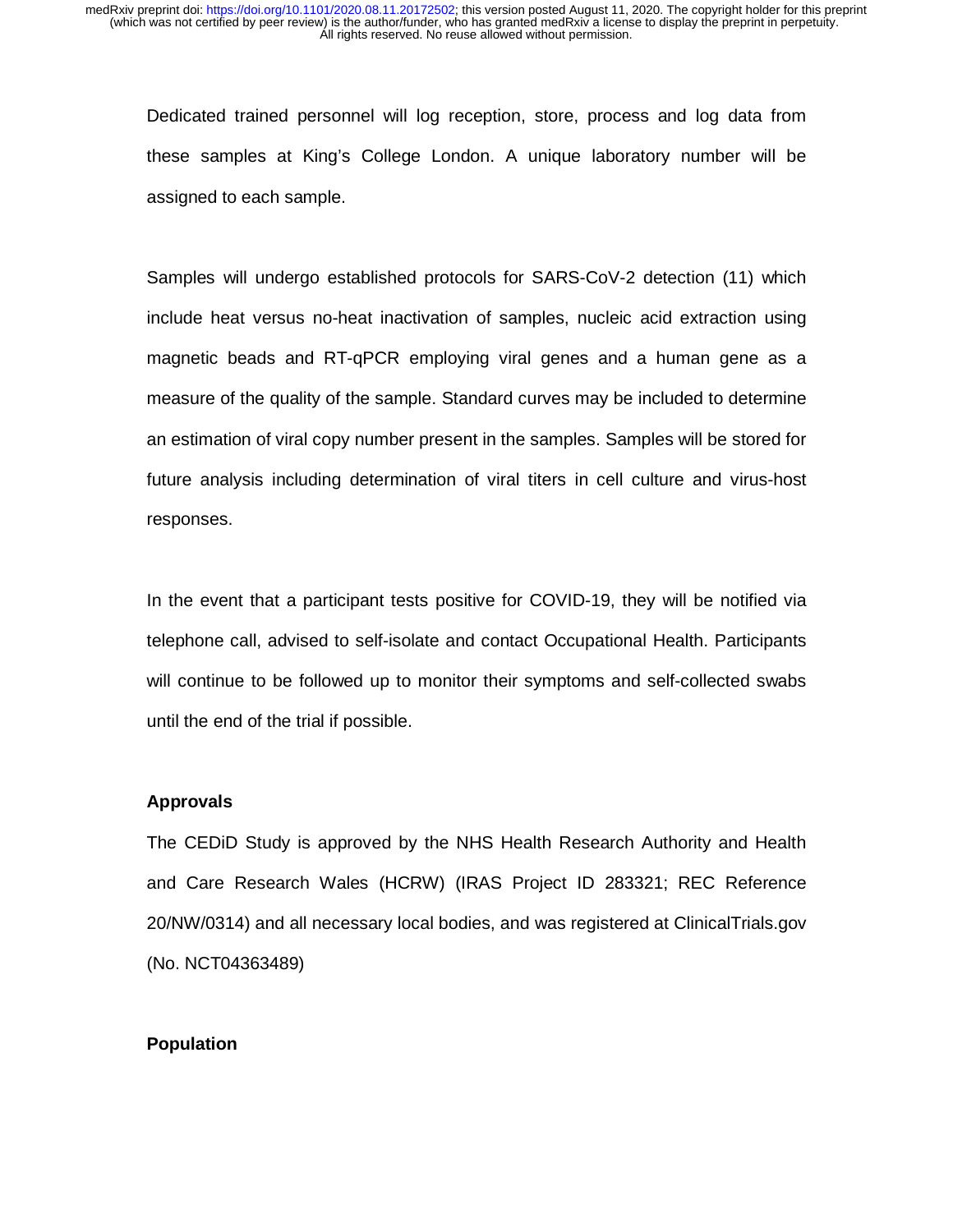Dedicated trained personnel will log reception, store, process and log data from these samples at King's College London. A unique laboratory number will be assigned to each sample.

Samples will undergo established protocols for SARS-CoV-2 detection (11) which include heat versus no-heat inactivation of samples, nucleic acid extraction using magnetic beads and RT-qPCR employing viral genes and a human gene as a measure of the quality of the sample. Standard curves may be included to determine an estimation of viral copy number present in the samples. Samples will be stored for future analysis including determination of viral titers in cell culture and virus-host responses.

In the event that a participant tests positive for COVID-19, they will be notified via telephone call, advised to self-isolate and contact Occupational Health. Participants will continue to be followed up to monitor their symptoms and self-collected swabs until the end of the trial if possible.

## **Approvals**

The CEDiD Study is approved by the NHS Health Research Authority and Health and Care Research Wales (HCRW) (IRAS Project ID 283321; REC Reference 20/NW/0314) and all necessary local bodies, and was registered at ClinicalTrials.gov (No. NCT04363489)

## **Population**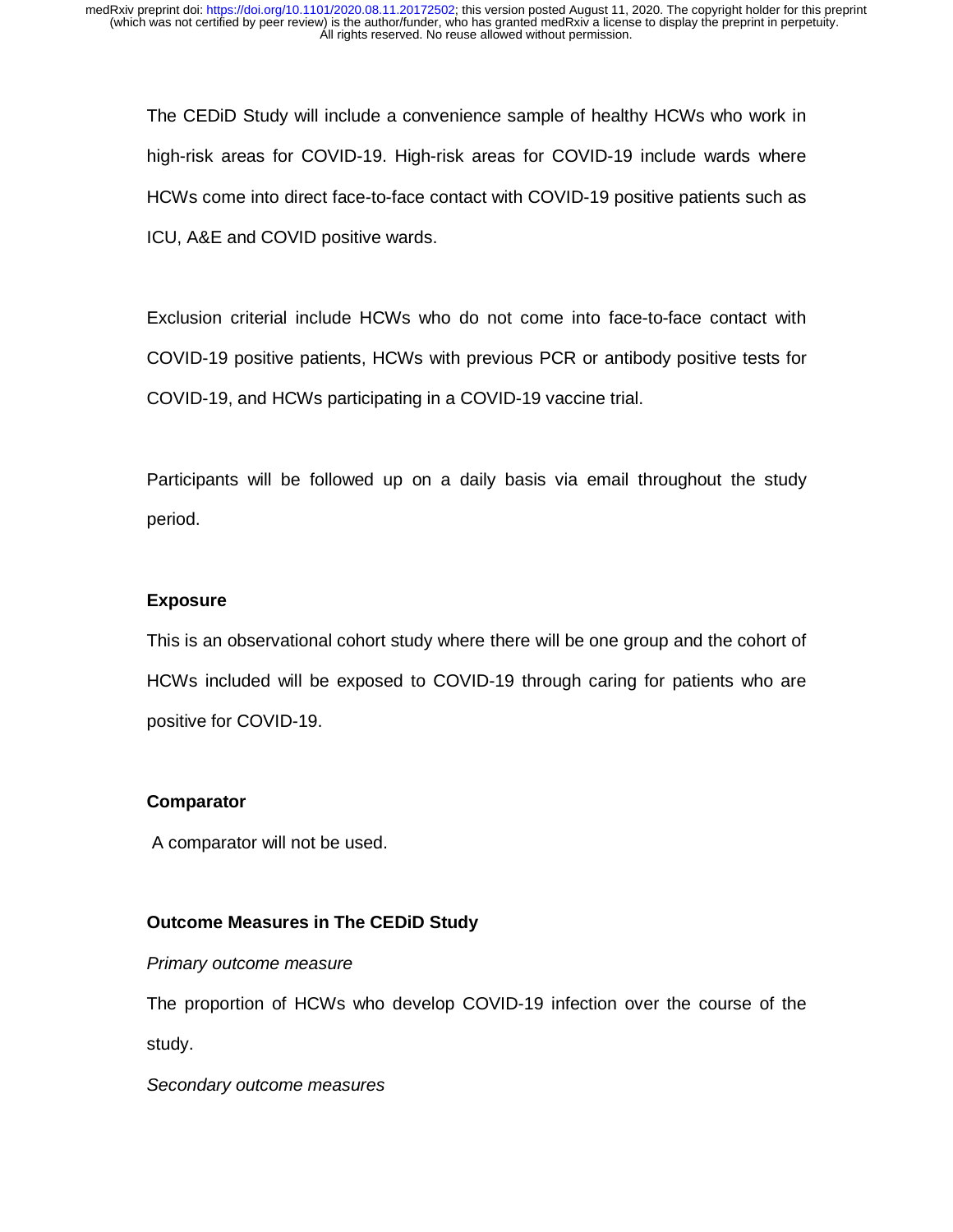The CEDiD Study will include a convenience sample of healthy HCWs who work in high-risk areas for COVID-19. High-risk areas for COVID-19 include wards where HCWs come into direct face-to-face contact with COVID-19 positive patients such as ICU, A&E and COVID positive wards.

Exclusion criterial include HCWs who do not come into face-to-face contact with COVID-19 positive patients, HCWs with previous PCR or antibody positive tests for COVID-19, and HCWs participating in a COVID-19 vaccine trial.

Participants will be followed up on a daily basis via email throughout the study period.

## **Exposure**

This is an observational cohort study where there will be one group and the cohort of HCWs included will be exposed to COVID-19 through caring for patients who are positive for COVID-19.

## **Comparator**

A comparator will not be used.

## **Outcome Measures in The CEDiD Study**

*Primary outcome measure*

The proportion of HCWs who develop COVID-19 infection over the course of the study.

*Secondary outcome measures*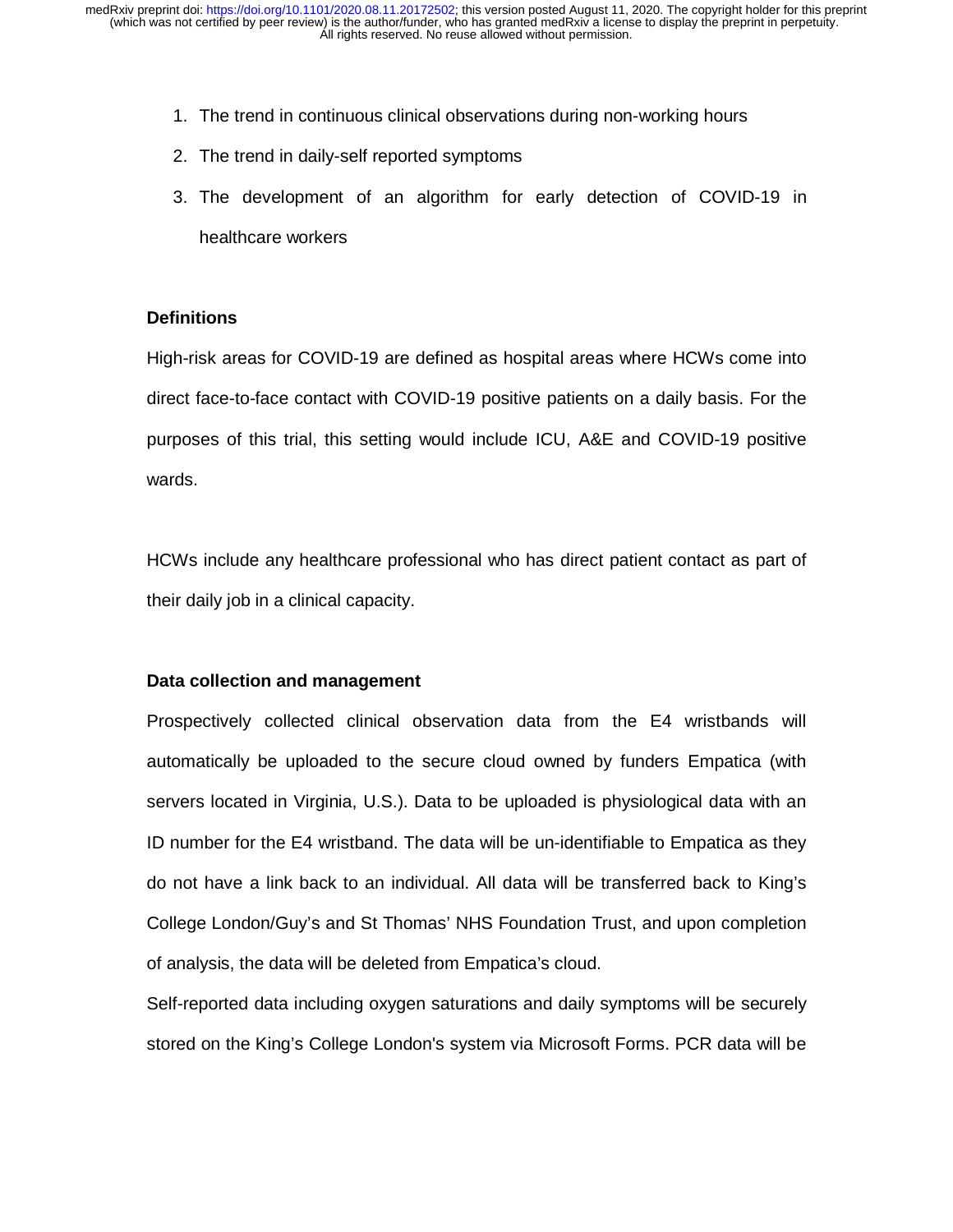- 1. The trend in continuous clinical observations during non-working hours
- 2. The trend in daily-self reported symptoms
- 3. The development of an algorithm for early detection of COVID-19 in healthcare workers

# **Definitions**

High-risk areas for COVID-19 are defined as hospital areas where HCWs come into direct face-to-face contact with COVID-19 positive patients on a daily basis. For the purposes of this trial, this setting would include ICU, A&E and COVID-19 positive wards.

HCWs include any healthcare professional who has direct patient contact as part of their daily job in a clinical capacity.

## **Data collection and management**

Prospectively collected clinical observation data from the E4 wristbands will automatically be uploaded to the secure cloud owned by funders Empatica (with servers located in Virginia, U.S.). Data to be uploaded is physiological data with an ID number for the E4 wristband. The data will be un-identifiable to Empatica as they do not have a link back to an individual. All data will be transferred back to King's College London/Guy's and St Thomas' NHS Foundation Trust, and upon completion of analysis, the data will be deleted from Empatica's cloud.

Self-reported data including oxygen saturations and daily symptoms will be securely stored on the King's College London's system via Microsoft Forms. PCR data will be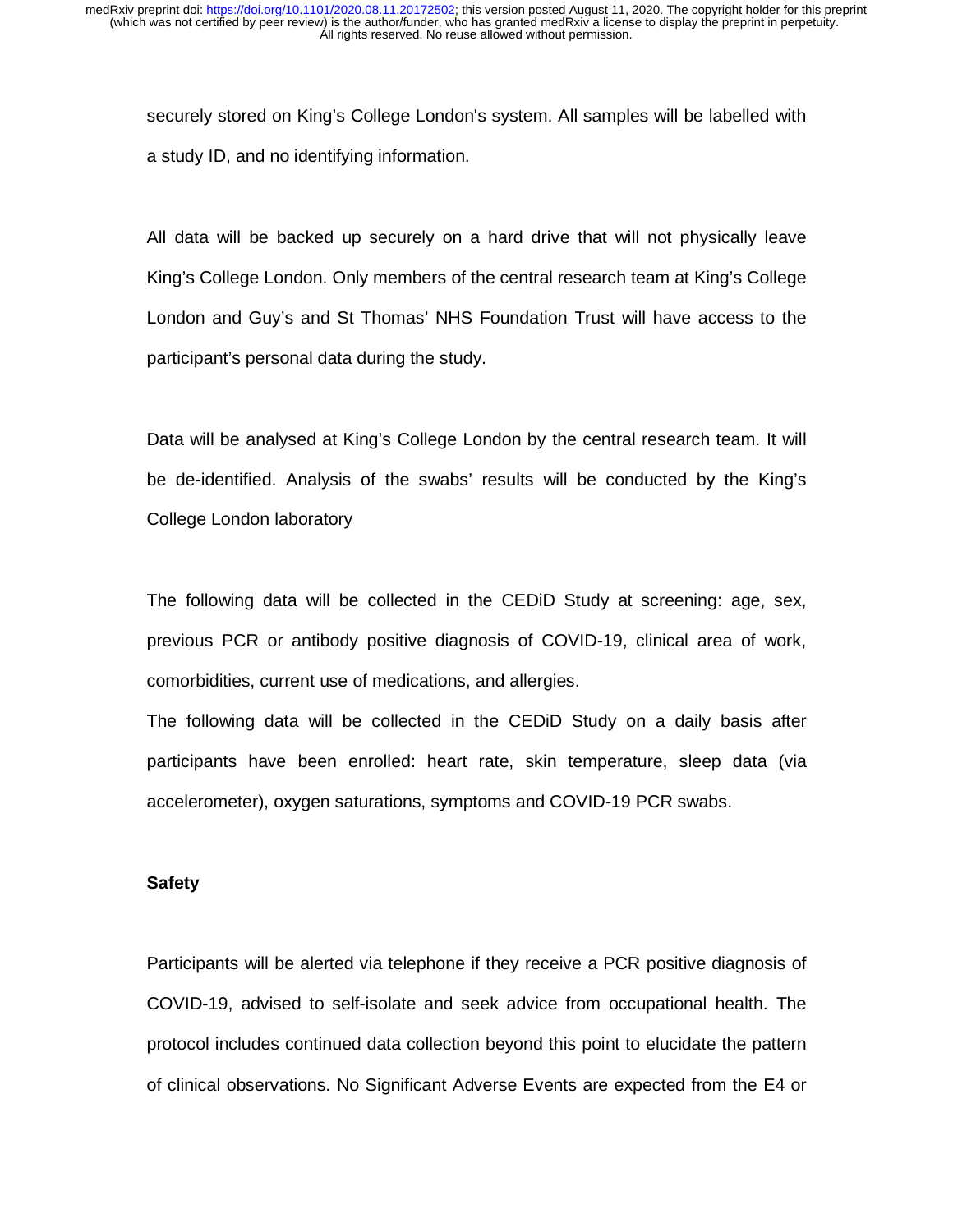securely stored on King's College London's system. All samples will be labelled with a study ID, and no identifying information.

All data will be backed up securely on a hard drive that will not physically leave King's College London. Only members of the central research team at King's College London and Guy's and St Thomas' NHS Foundation Trust will have access to the participant's personal data during the study.

Data will be analysed at King's College London by the central research team. It will be de-identified. Analysis of the swabs' results will be conducted by the King's College London laboratory

The following data will be collected in the CEDiD Study at screening: age, sex, previous PCR or antibody positive diagnosis of COVID-19, clinical area of work, comorbidities, current use of medications, and allergies.

The following data will be collected in the CEDiD Study on a daily basis after participants have been enrolled: heart rate, skin temperature, sleep data (via accelerometer), oxygen saturations, symptoms and COVID-19 PCR swabs.

## **Safety**

Participants will be alerted via telephone if they receive a PCR positive diagnosis of COVID-19, advised to self-isolate and seek advice from occupational health. The protocol includes continued data collection beyond this point to elucidate the pattern of clinical observations. No Significant Adverse Events are expected from the E4 or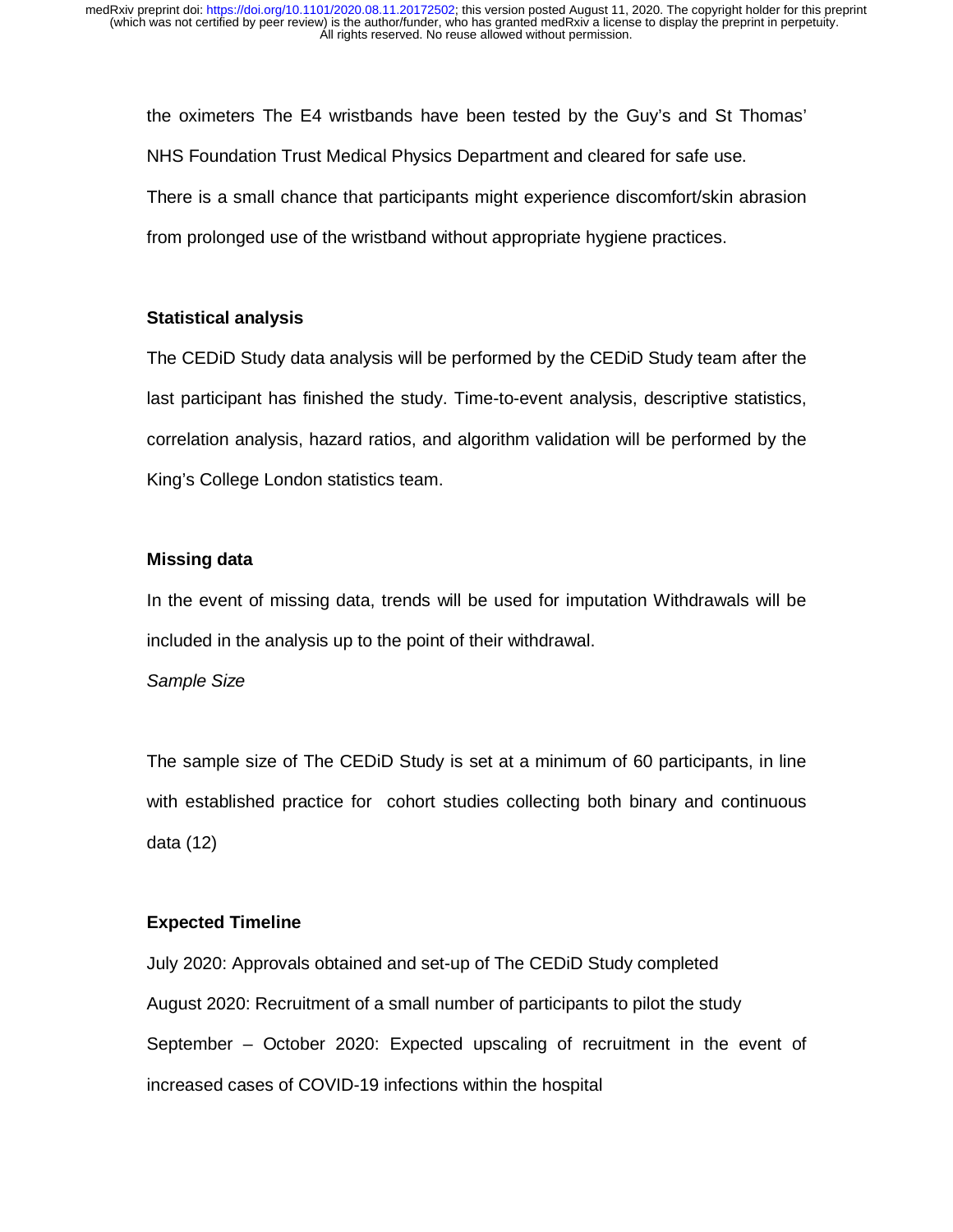the oximeters The E4 wristbands have been tested by the Guy's and St Thomas' NHS Foundation Trust Medical Physics Department and cleared for safe use. There is a small chance that participants might experience discomfort/skin abrasion from prolonged use of the wristband without appropriate hygiene practices.

# **Statistical analysis**

The CEDiD Study data analysis will be performed by the CEDiD Study team after the last participant has finished the study. Time-to-event analysis, descriptive statistics, correlation analysis, hazard ratios, and algorithm validation will be performed by the King's College London statistics team.

# **Missing data**

In the event of missing data, trends will be used for imputation Withdrawals will be included in the analysis up to the point of their withdrawal.

## *Sample Size*

The sample size of The CEDiD Study is set at a minimum of 60 participants, in line with established practice for cohort studies collecting both binary and continuous data (12)

# **Expected Timeline**

July 2020: Approvals obtained and set-up of The CEDiD Study completed August 2020: Recruitment of a small number of participants to pilot the study September – October 2020: Expected upscaling of recruitment in the event of increased cases of COVID-19 infections within the hospital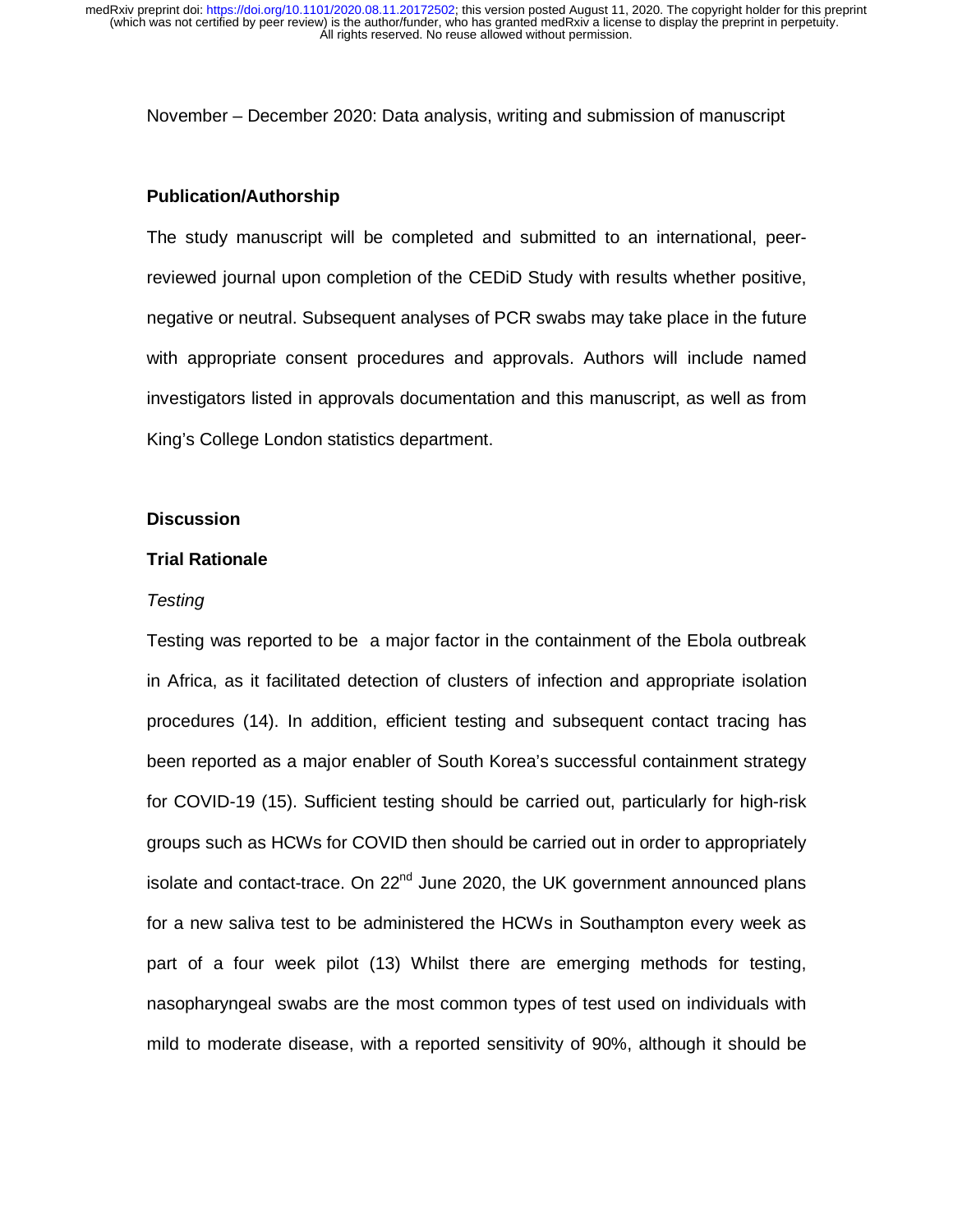November – December 2020: Data analysis, writing and submission of manuscript

### **Publication/Authorship**

The study manuscript will be completed and submitted to an international, peerreviewed journal upon completion of the CEDiD Study with results whether positive, negative or neutral. Subsequent analyses of PCR swabs may take place in the future with appropriate consent procedures and approvals. Authors will include named investigators listed in approvals documentation and this manuscript, as well as from King's College London statistics department.

#### **Discussion**

#### **Trial Rationale**

### *Testing*

Testing was reported to be a major factor in the containment of the Ebola outbreak in Africa, as it facilitated detection of clusters of infection and appropriate isolation procedures (14). In addition, efficient testing and subsequent contact tracing has been reported as a major enabler of South Korea's successful containment strategy for COVID-19 (15). Sufficient testing should be carried out, particularly for high-risk groups such as HCWs for COVID then should be carried out in order to appropriately isolate and contact-trace. On  $22<sup>nd</sup>$  June 2020, the UK government announced plans for a new saliva test to be administered the HCWs in Southampton every week as part of a four week pilot (13) Whilst there are emerging methods for testing, nasopharyngeal swabs are the most common types of test used on individuals with mild to moderate disease, with a reported sensitivity of 90%, although it should be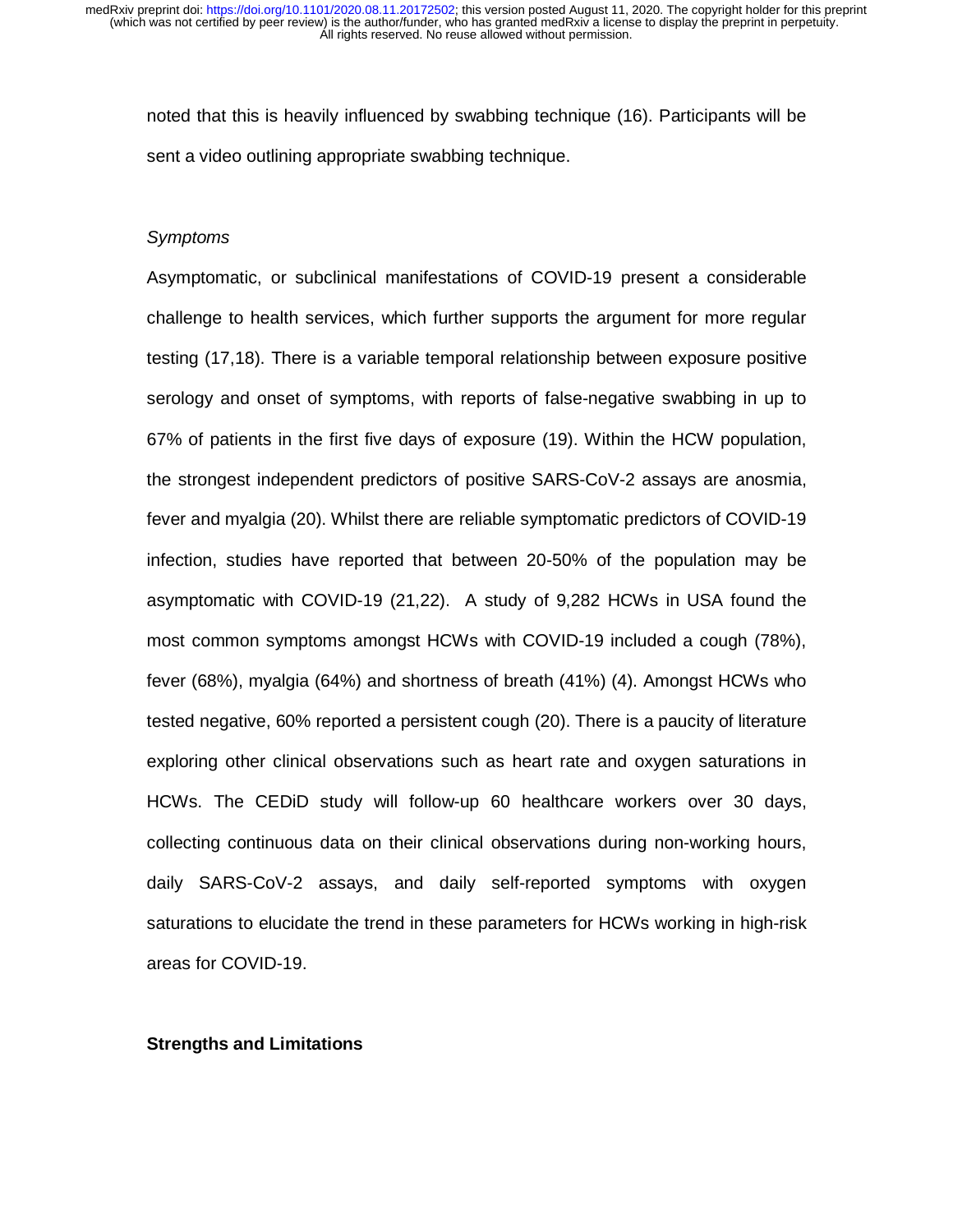noted that this is heavily influenced by swabbing technique (16). Participants will be sent a video outlining appropriate swabbing technique.

#### *Symptoms*

Asymptomatic, or subclinical manifestations of COVID-19 present a considerable challenge to health services, which further supports the argument for more regular testing (17,18). There is a variable temporal relationship between exposure positive serology and onset of symptoms, with reports of false-negative swabbing in up to 67% of patients in the first five days of exposure (19). Within the HCW population, the strongest independent predictors of positive SARS-CoV-2 assays are anosmia, fever and myalgia (20). Whilst there are reliable symptomatic predictors of COVID-19 infection, studies have reported that between 20-50% of the population may be asymptomatic with COVID-19 (21,22). A study of 9,282 HCWs in USA found the most common symptoms amongst HCWs with COVID-19 included a cough (78%), fever (68%), myalgia (64%) and shortness of breath (41%) (4). Amongst HCWs who tested negative, 60% reported a persistent cough (20). There is a paucity of literature exploring other clinical observations such as heart rate and oxygen saturations in HCWs. The CEDiD study will follow-up 60 healthcare workers over 30 days, collecting continuous data on their clinical observations during non-working hours, daily SARS-CoV-2 assays, and daily self-reported symptoms with oxygen saturations to elucidate the trend in these parameters for HCWs working in high-risk areas for COVID-19.

## **Strengths and Limitations**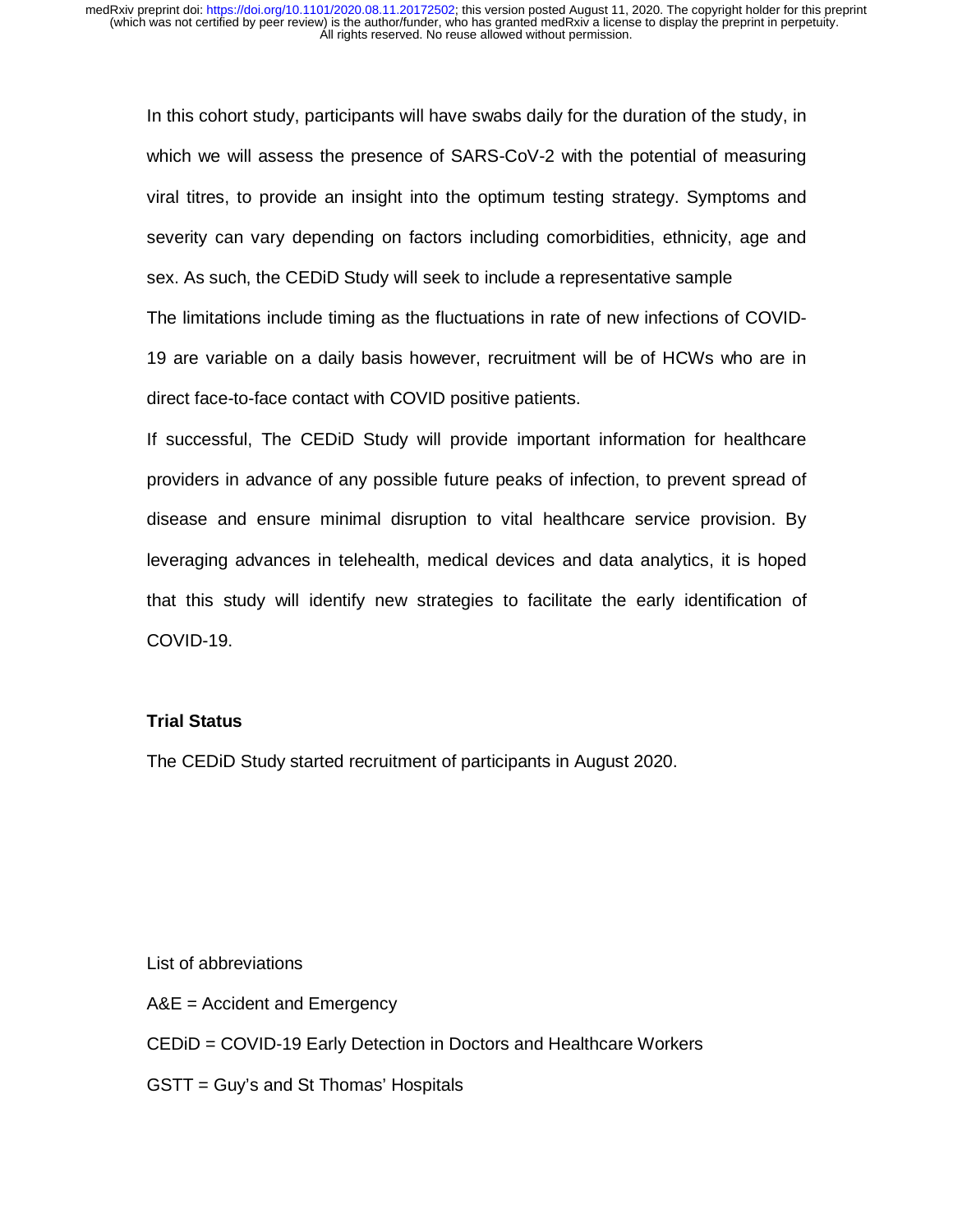In this cohort study, participants will have swabs daily for the duration of the study, in which we will assess the presence of SARS-CoV-2 with the potential of measuring viral titres, to provide an insight into the optimum testing strategy. Symptoms and severity can vary depending on factors including comorbidities, ethnicity, age and sex. As such, the CEDiD Study will seek to include a representative sample The limitations include timing as the fluctuations in rate of new infections of COVID-19 are variable on a daily basis however, recruitment will be of HCWs who are in direct face-to-face contact with COVID positive patients.

If successful, The CEDiD Study will provide important information for healthcare providers in advance of any possible future peaks of infection, to prevent spread of disease and ensure minimal disruption to vital healthcare service provision. By leveraging advances in telehealth, medical devices and data analytics, it is hoped that this study will identify new strategies to facilitate the early identification of COVID-19.

## **Trial Status**

The CEDiD Study started recruitment of participants in August 2020.

List of abbreviations

A&E = Accident and Emergency

CEDiD = COVID-19 Early Detection in Doctors and Healthcare Workers

GSTT = Guy's and St Thomas' Hospitals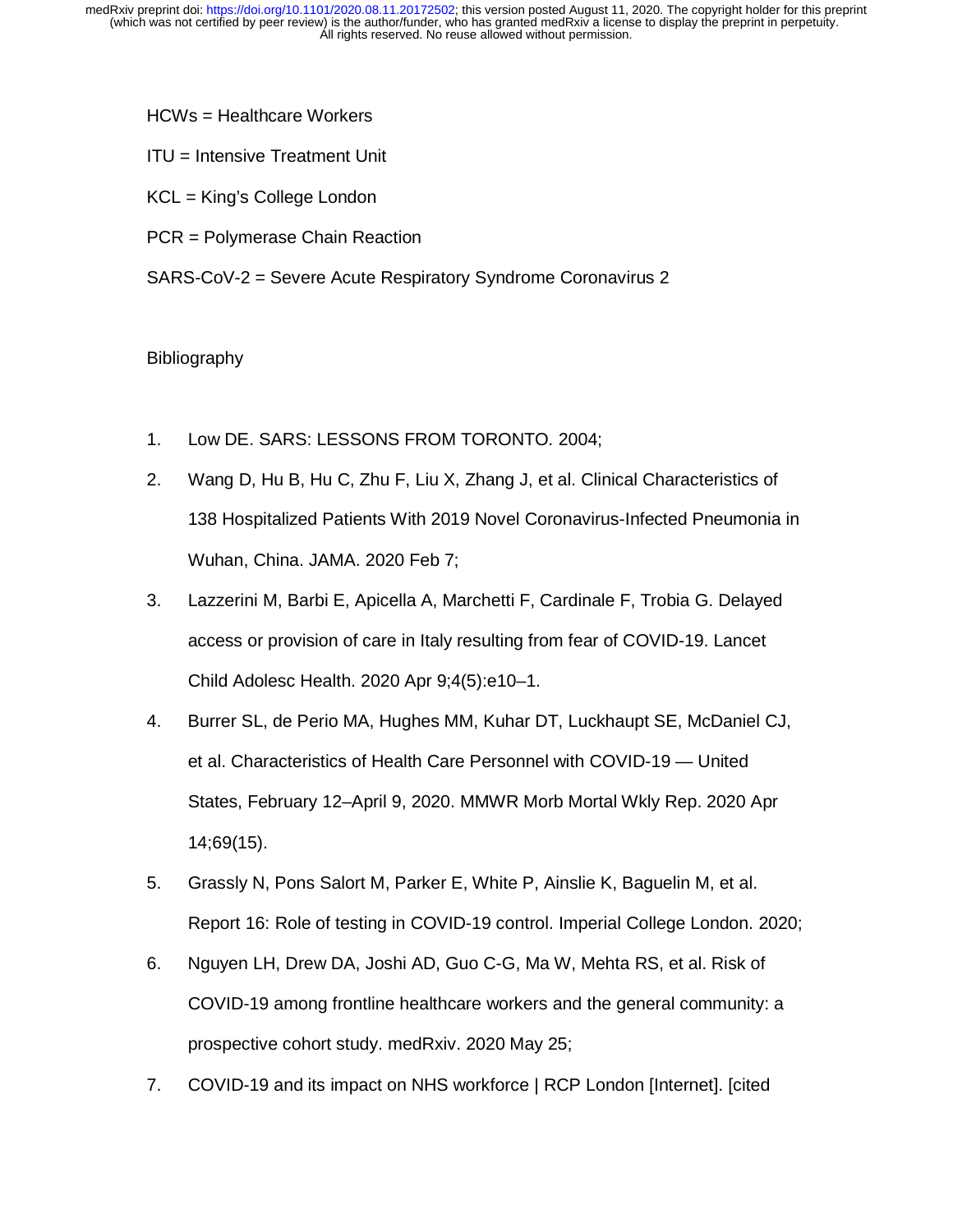- HCWs = Healthcare Workers
- ITU = Intensive Treatment Unit
- KCL = King's College London
- PCR = Polymerase Chain Reaction
- SARS-CoV-2 = Severe Acute Respiratory Syndrome Coronavirus 2

## Bibliography

- 1. Low DE. SARS: LESSONS FROM TORONTO. 2004;
- 2. Wang D, Hu B, Hu C, Zhu F, Liu X, Zhang J, et al. Clinical Characteristics of 138 Hospitalized Patients With 2019 Novel Coronavirus-Infected Pneumonia in Wuhan, China. JAMA. 2020 Feb 7;
- 3. Lazzerini M, Barbi E, Apicella A, Marchetti F, Cardinale F, Trobia G. Delayed access or provision of care in Italy resulting from fear of COVID-19. Lancet Child Adolesc Health. 2020 Apr 9;4(5):e10–1.
- 4. Burrer SL, de Perio MA, Hughes MM, Kuhar DT, Luckhaupt SE, McDaniel CJ, et al. Characteristics of Health Care Personnel with COVID-19 — United States, February 12–April 9, 2020. MMWR Morb Mortal Wkly Rep. 2020 Apr 14;69(15).
- 5. Grassly N, Pons Salort M, Parker E, White P, Ainslie K, Baguelin M, et al. Report 16: Role of testing in COVID-19 control. Imperial College London. 2020;
- 6. Nguyen LH, Drew DA, Joshi AD, Guo C-G, Ma W, Mehta RS, et al. Risk of COVID-19 among frontline healthcare workers and the general community: a prospective cohort study. medRxiv. 2020 May 25;
- 7. COVID-19 and its impact on NHS workforce | RCP London [Internet]. [cited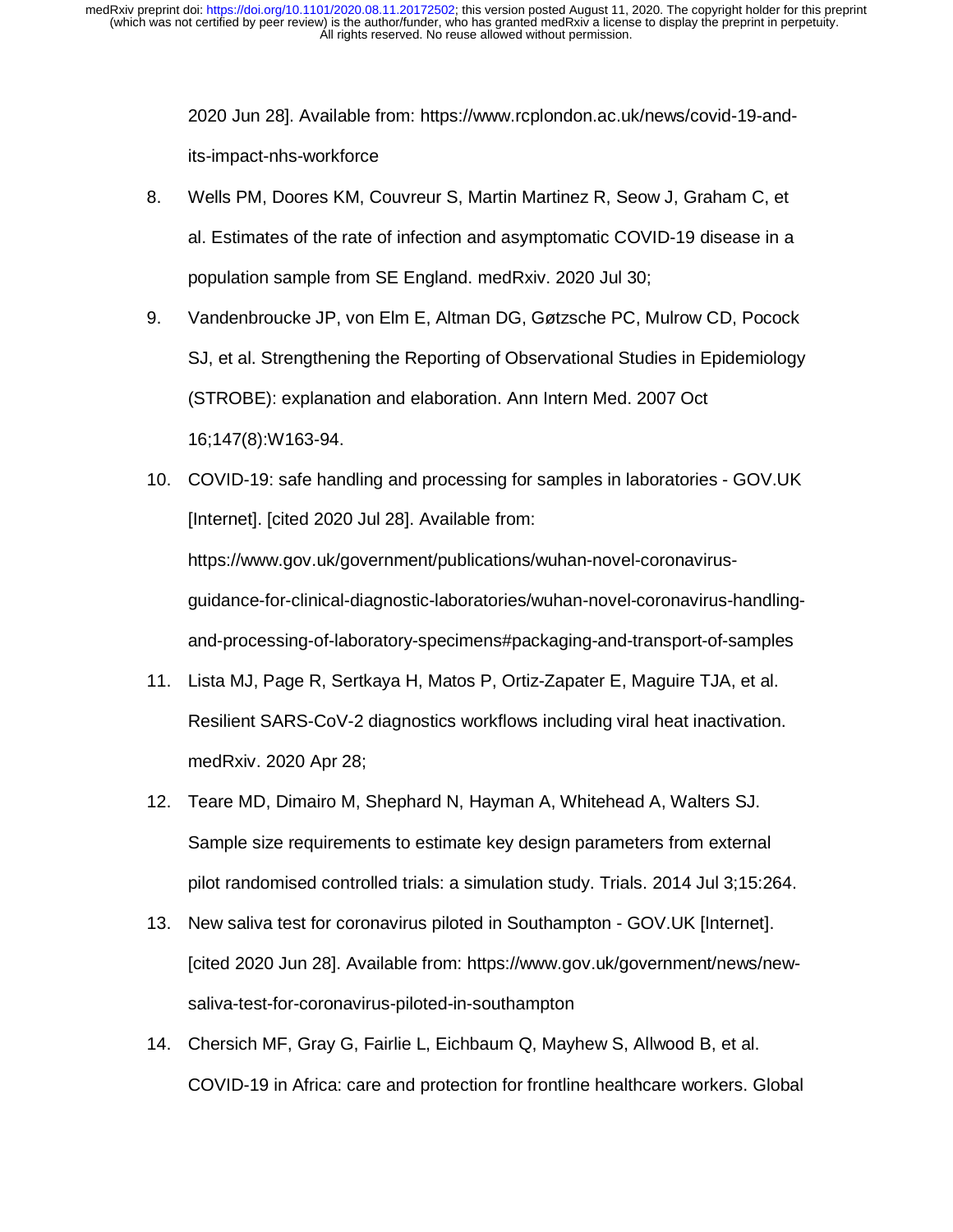2020 Jun 28]. Available from: https://www.rcplondon.ac.uk/news/covid-19-andits-impact-nhs-workforce

- 8. Wells PM, Doores KM, Couvreur S, Martin Martinez R, Seow J, Graham C, et al. Estimates of the rate of infection and asymptomatic COVID-19 disease in a population sample from SE England. medRxiv. 2020 Jul 30;
- 9. Vandenbroucke JP, von Elm E, Altman DG, Gøtzsche PC, Mulrow CD, Pocock SJ, et al. Strengthening the Reporting of Observational Studies in Epidemiology (STROBE): explanation and elaboration. Ann Intern Med. 2007 Oct 16;147(8):W163-94.
- 10. COVID-19: safe handling and processing for samples in laboratories GOV.UK [Internet]. [cited 2020 Jul 28]. Available from: https://www.gov.uk/government/publications/wuhan-novel-coronavirusguidance-for-clinical-diagnostic-laboratories/wuhan-novel-coronavirus-handlingand-processing-of-laboratory-specimens#packaging-and-transport-of-samples
- 11. Lista MJ, Page R, Sertkaya H, Matos P, Ortiz-Zapater E, Maguire TJA, et al. Resilient SARS-CoV-2 diagnostics workflows including viral heat inactivation. medRxiv. 2020 Apr 28;
- 12. Teare MD, Dimairo M, Shephard N, Hayman A, Whitehead A, Walters SJ. Sample size requirements to estimate key design parameters from external pilot randomised controlled trials: a simulation study. Trials. 2014 Jul 3;15:264.
- 13. New saliva test for coronavirus piloted in Southampton GOV.UK [Internet]. [cited 2020 Jun 28]. Available from: https://www.gov.uk/government/news/newsaliva-test-for-coronavirus-piloted-in-southampton
- 14. Chersich MF, Gray G, Fairlie L, Eichbaum Q, Mayhew S, Allwood B, et al. COVID-19 in Africa: care and protection for frontline healthcare workers. Global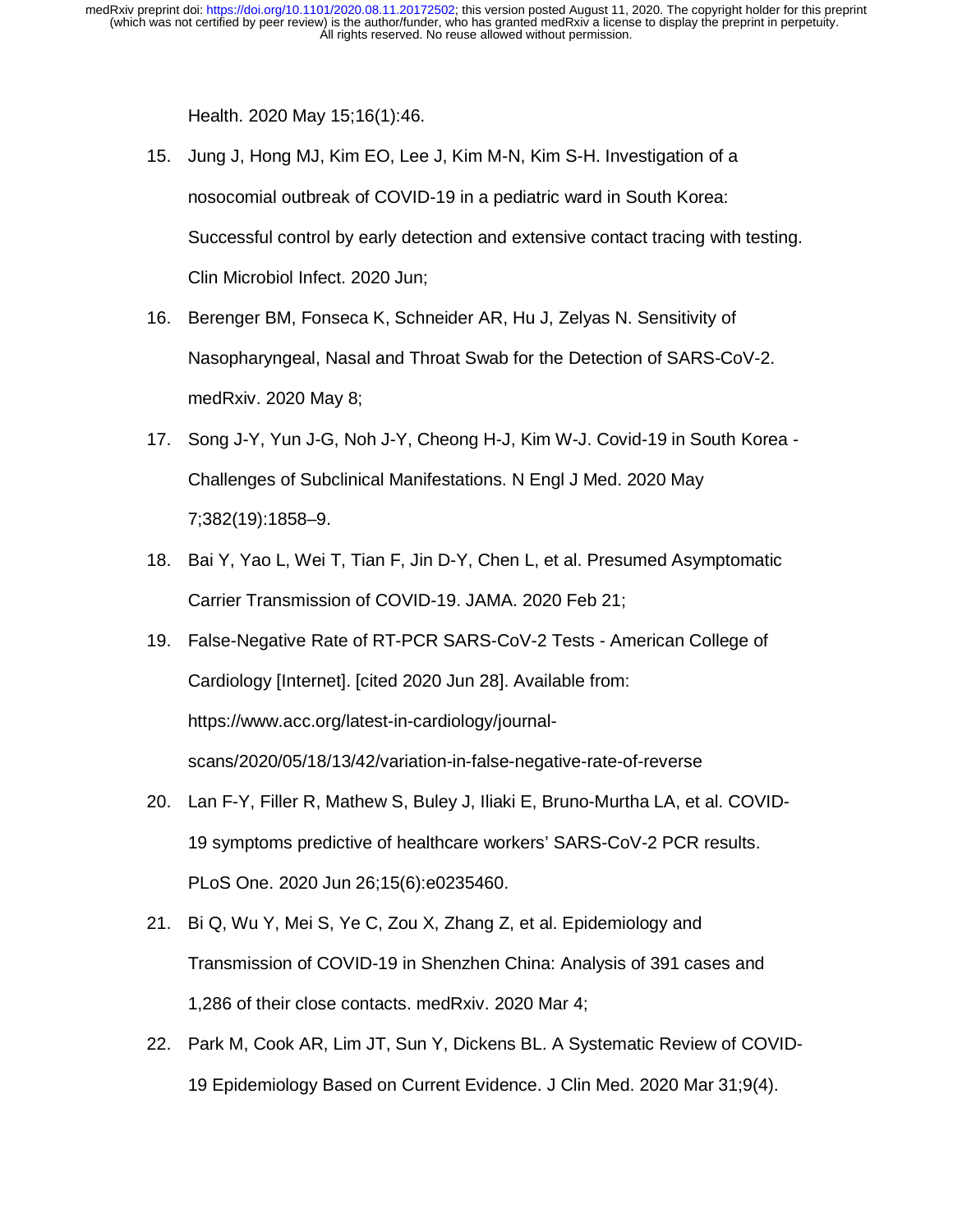Health. 2020 May 15;16(1):46.

- 15. Jung J, Hong MJ, Kim EO, Lee J, Kim M-N, Kim S-H. Investigation of a nosocomial outbreak of COVID-19 in a pediatric ward in South Korea: Successful control by early detection and extensive contact tracing with testing. Clin Microbiol Infect. 2020 Jun;
- 16. Berenger BM, Fonseca K, Schneider AR, Hu J, Zelyas N. Sensitivity of Nasopharyngeal, Nasal and Throat Swab for the Detection of SARS-CoV-2. medRxiv. 2020 May 8;
- 17. Song J-Y, Yun J-G, Noh J-Y, Cheong H-J, Kim W-J. Covid-19 in South Korea Challenges of Subclinical Manifestations. N Engl J Med. 2020 May 7;382(19):1858–9.
- 18. Bai Y, Yao L, Wei T, Tian F, Jin D-Y, Chen L, et al. Presumed Asymptomatic Carrier Transmission of COVID-19. JAMA. 2020 Feb 21;
- 19. False-Negative Rate of RT-PCR SARS-CoV-2 Tests American College of Cardiology [Internet]. [cited 2020 Jun 28]. Available from: https://www.acc.org/latest-in-cardiology/journalscans/2020/05/18/13/42/variation-in-false-negative-rate-of-reverse
- 20. Lan F-Y, Filler R, Mathew S, Buley J, Iliaki E, Bruno-Murtha LA, et al. COVID-19 symptoms predictive of healthcare workers' SARS-CoV-2 PCR results. PLoS One. 2020 Jun 26;15(6):e0235460.
- 21. Bi Q, Wu Y, Mei S, Ye C, Zou X, Zhang Z, et al. Epidemiology and Transmission of COVID-19 in Shenzhen China: Analysis of 391 cases and 1,286 of their close contacts. medRxiv. 2020 Mar 4;
- 22. Park M, Cook AR, Lim JT, Sun Y, Dickens BL. A Systematic Review of COVID-19 Epidemiology Based on Current Evidence. J Clin Med. 2020 Mar 31;9(4).